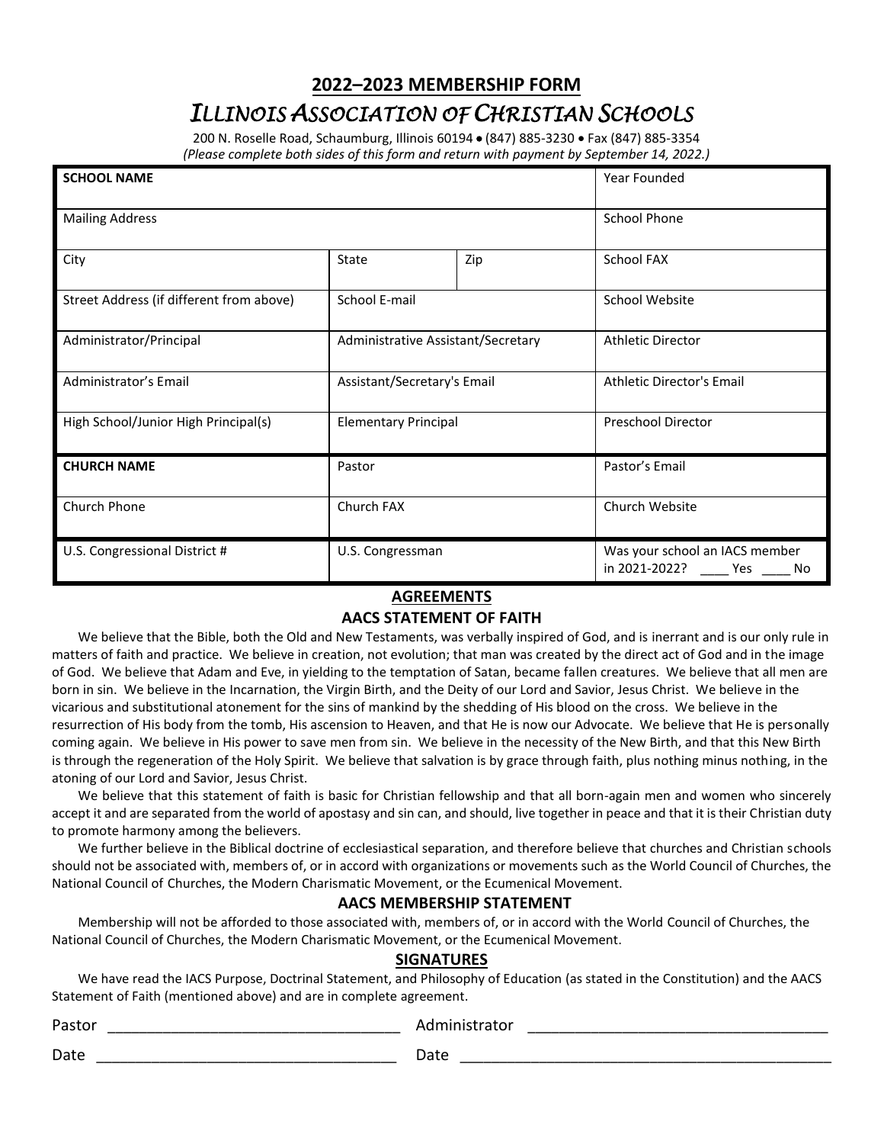# **2022–2023 MEMBERSHIP FORM**

# *ILLINOIS ASSOCIATION OF CHRISTIAN SCHOOLS*

200 N. Roselle Road, Schaumburg, Illinois 60194 • (847) 885-3230 • Fax (847) 885-3354 *(Please complete both sides of this form and return with payment by September 14, 2022.)*

| <b>SCHOOL NAME</b>                       |                                    |     | Year Founded                                                       |  |
|------------------------------------------|------------------------------------|-----|--------------------------------------------------------------------|--|
| <b>Mailing Address</b>                   |                                    |     | <b>School Phone</b>                                                |  |
| City                                     | State                              | Zip | School FAX                                                         |  |
| Street Address (if different from above) | School E-mail                      |     | School Website                                                     |  |
| Administrator/Principal                  | Administrative Assistant/Secretary |     | <b>Athletic Director</b>                                           |  |
| Administrator's Email                    | Assistant/Secretary's Email        |     | Athletic Director's Email                                          |  |
| High School/Junior High Principal(s)     | <b>Elementary Principal</b>        |     | <b>Preschool Director</b>                                          |  |
| <b>CHURCH NAME</b>                       | Pastor                             |     | Pastor's Email                                                     |  |
| Church Phone                             | Church FAX                         |     | Church Website                                                     |  |
| U.S. Congressional District #            | U.S. Congressman                   |     | Was your school an IACS member<br>in 2021-2022? _____ Yes _____ No |  |

## **AGREEMENTS AACS STATEMENT OF FAITH**

We believe that the Bible, both the Old and New Testaments, was verbally inspired of God, and is inerrant and is our only rule in matters of faith and practice. We believe in creation, not evolution; that man was created by the direct act of God and in the image of God. We believe that Adam and Eve, in yielding to the temptation of Satan, became fallen creatures. We believe that all men are born in sin. We believe in the Incarnation, the Virgin Birth, and the Deity of our Lord and Savior, Jesus Christ. We believe in the vicarious and substitutional atonement for the sins of mankind by the shedding of His blood on the cross. We believe in the resurrection of His body from the tomb, His ascension to Heaven, and that He is now our Advocate. We believe that He is personally coming again. We believe in His power to save men from sin. We believe in the necessity of the New Birth, and that this New Birth is through the regeneration of the Holy Spirit. We believe that salvation is by grace through faith, plus nothing minus nothing, in the atoning of our Lord and Savior, Jesus Christ.

We believe that this statement of faith is basic for Christian fellowship and that all born-again men and women who sincerely accept it and are separated from the world of apostasy and sin can, and should, live together in peace and that it is their Christian duty to promote harmony among the believers.

We further believe in the Biblical doctrine of ecclesiastical separation, and therefore believe that churches and Christian schools should not be associated with, members of, or in accord with organizations or movements such as the World Council of Churches, the National Council of Churches, the Modern Charismatic Movement, or the Ecumenical Movement.

### **AACS MEMBERSHIP STATEMENT**

Membership will not be afforded to those associated with, members of, or in accord with the World Council of Churches, the National Council of Churches, the Modern Charismatic Movement, or the Ecumenical Movement.

#### **SIGNATURES**

We have read the IACS Purpose, Doctrinal Statement, and Philosophy of Education (as stated in the Constitution) and the AACS Statement of Faith (mentioned above) and are in complete agreement.

| Pastor |  |  |
|--------|--|--|
|        |  |  |

Date \_\_\_\_\_\_\_\_\_\_\_\_\_\_\_\_\_\_\_\_\_\_\_\_\_\_\_\_\_\_\_\_\_\_\_\_\_\_ Date \_\_\_\_\_\_\_\_\_\_\_\_\_\_\_\_\_\_\_\_\_\_\_\_\_\_\_\_\_\_\_\_\_\_\_\_\_\_\_\_\_\_\_\_\_\_\_